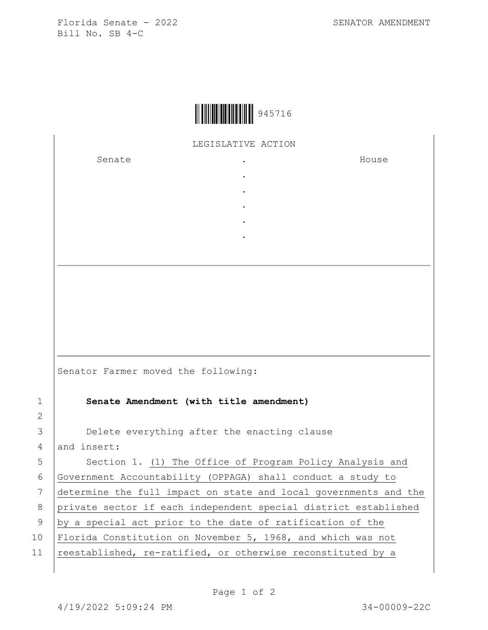

LEGISLATIVE ACTION

. .

. . .

Senate .

House

|                | Senator Farmer moved the following:                              |
|----------------|------------------------------------------------------------------|
| $\mathbf{1}$   | Senate Amendment (with title amendment)                          |
| 2              |                                                                  |
| 3              | Delete everything after the enacting clause                      |
| $\overline{4}$ | and insert:                                                      |
| 5              | Section 1. (1) The Office of Program Policy Analysis and         |
| 6              | Government Accountability (OPPAGA) shall conduct a study to      |
| 7              | determine the full impact on state and local governments and the |
| 8              | private sector if each independent special district established  |
| 9              | by a special act prior to the date of ratification of the        |

10 Florida Constitution on November 5, 1968, and which was not

11 reestablished, re-ratified, or otherwise reconstituted by a